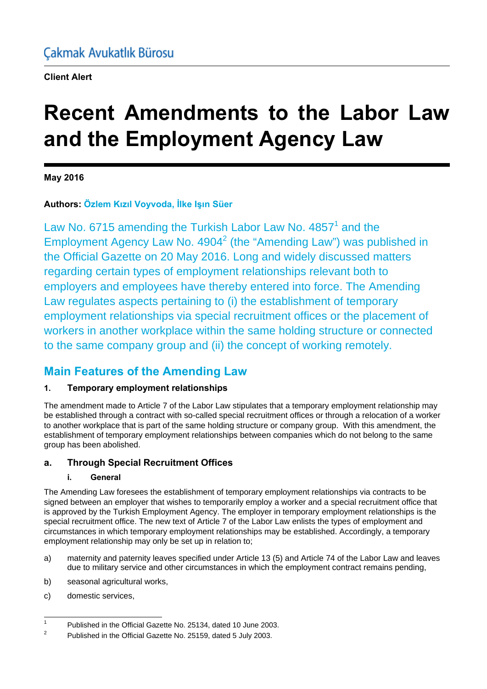**Client Alert**

# **Recent Amendments to the Labor Law and the Employment Agency Law**

**May 2016** 

## **Authors: Özlem Kızıl Voyvoda, İlke Işın Süer**

Law No. 6715 amending the Turkish Labor Law No.  $4857<sup>1</sup>$  and the Employment Agency Law No.  $4904<sup>2</sup>$  (the "Amending Law") was published in the Official Gazette on 20 May 2016. Long and widely discussed matters regarding certain types of employment relationships relevant both to employers and employees have thereby entered into force. The Amending Law regulates aspects pertaining to (i) the establishment of temporary employment relationships via special recruitment offices or the placement of workers in another workplace within the same holding structure or connected to the same company group and (ii) the concept of working remotely.

## **Main Features of the Amending Law**

## **1. Temporary employment relationships**

The amendment made to Article 7 of the Labor Law stipulates that a temporary employment relationship may be established through a contract with so-called special recruitment offices or through a relocation of a worker to another workplace that is part of the same holding structure or company group. With this amendment, the establishment of temporary employment relationships between companies which do not belong to the same group has been abolished.

## **a. Through Special Recruitment Offices**

### **i. General**

The Amending Law foresees the establishment of temporary employment relationships via contracts to be signed between an employer that wishes to temporarily employ a worker and a special recruitment office that is approved by the Turkish Employment Agency. The employer in temporary employment relationships is the special recruitment office. The new text of Article 7 of the Labor Law enlists the types of employment and circumstances in which temporary employment relationships may be established. Accordingly, a temporary employment relationship may only be set up in relation to;

- a) maternity and paternity leaves specified under Article 13 (5) and Article 74 of the Labor Law and leaves due to military service and other circumstances in which the employment contract remains pending,
- b) seasonal agricultural works,
- c) domestic services,

 $\frac{1}{1}$ <sup>1</sup> Published in the Official Gazette No. 25134, dated 10 June 2003.<br><sup>2</sup> Published in the Official Constite Natural Constitution 2003.

Published in the Official Gazette No. 25159, dated 5 July 2003.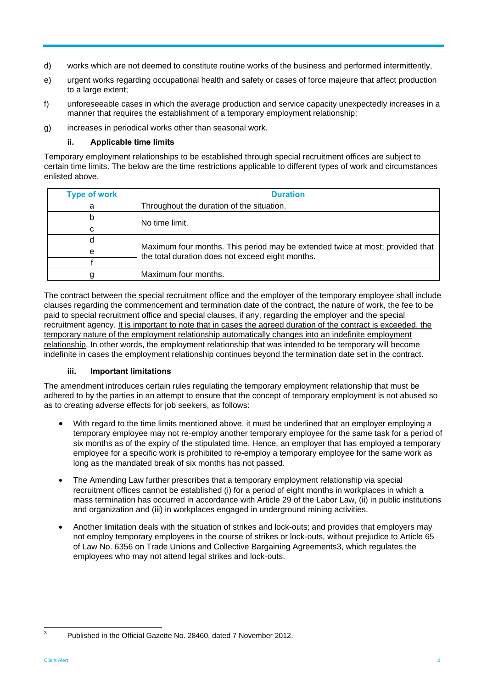- d) works which are not deemed to constitute routine works of the business and performed intermittently,
- e) urgent works regarding occupational health and safety or cases of force majeure that affect production to a large extent;
- f) unforeseeable cases in which the average production and service capacity unexpectedly increases in a manner that requires the establishment of a temporary employment relationship;
- g) increases in periodical works other than seasonal work.

#### **ii. Applicable time limits**

Temporary employment relationships to be established through special recruitment offices are subject to certain time limits. The below are the time restrictions applicable to different types of work and circumstances enlisted above.

| <b>Type of work</b> | <b>Duration</b>                                                                                                                   |
|---------------------|-----------------------------------------------------------------------------------------------------------------------------------|
| а                   | Throughout the duration of the situation.                                                                                         |
| b                   | No time limit.                                                                                                                    |
| C                   |                                                                                                                                   |
| d                   | Maximum four months. This period may be extended twice at most; provided that<br>the total duration does not exceed eight months. |
| е                   |                                                                                                                                   |
|                     |                                                                                                                                   |
| g                   | Maximum four months.                                                                                                              |

The contract between the special recruitment office and the employer of the temporary employee shall include clauses regarding the commencement and termination date of the contract, the nature of work, the fee to be paid to special recruitment office and special clauses, if any, regarding the employer and the special recruitment agency. It is important to note that in cases the agreed duration of the contract is exceeded, the temporary nature of the employment relationship automatically changes into an indefinite employment relationship. In other words, the employment relationship that was intended to be temporary will become indefinite in cases the employment relationship continues beyond the termination date set in the contract.

#### **iii. Important limitations**

The amendment introduces certain rules regulating the temporary employment relationship that must be adhered to by the parties in an attempt to ensure that the concept of temporary employment is not abused so as to creating adverse effects for job seekers, as follows:

- With regard to the time limits mentioned above, it must be underlined that an employer employing a temporary employee may not re-employ another temporary employee for the same task for a period of six months as of the expiry of the stipulated time. Hence, an employer that has employed a temporary employee for a specific work is prohibited to re-employ a temporary employee for the same work as long as the mandated break of six months has not passed.
- The Amending Law further prescribes that a temporary employment relationship via special recruitment offices cannot be established (i) for a period of eight months in workplaces in which a mass termination has occurred in accordance with Article 29 of the Labor Law, (ii) in public institutions and organization and (iii) in workplaces engaged in underground mining activities.
- Another limitation deals with the situation of strikes and lock-outs; and provides that employers may not employ temporary employees in the course of strikes or lock-outs, without prejudice to Article 65 of Law No. 6356 on Trade Unions and Collective Bargaining Agreements3, which regulates the employees who may not attend legal strikes and lock-outs.

<sup>-&</sup>lt;br>3

Published in the Official Gazette No. 28460, dated 7 November 2012.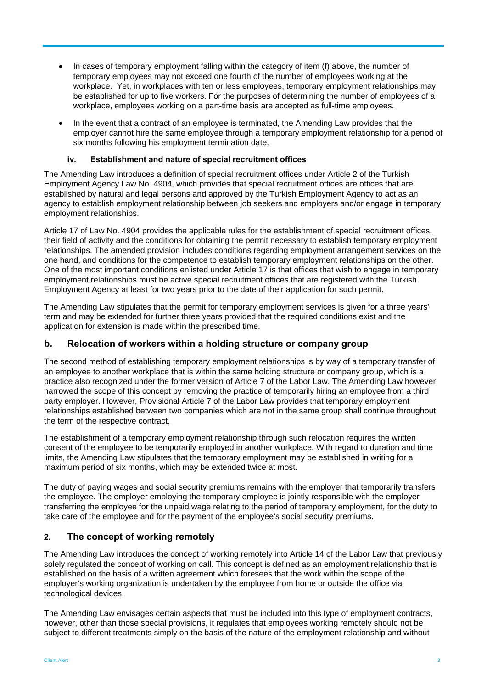- In cases of temporary employment falling within the category of item (f) above, the number of temporary employees may not exceed one fourth of the number of employees working at the workplace. Yet, in workplaces with ten or less employees, temporary employment relationships may be established for up to five workers. For the purposes of determining the number of employees of a workplace, employees working on a part-time basis are accepted as full-time employees.
- In the event that a contract of an employee is terminated, the Amending Law provides that the employer cannot hire the same employee through a temporary employment relationship for a period of six months following his employment termination date.

#### **iv. Establishment and nature of special recruitment offices**

The Amending Law introduces a definition of special recruitment offices under Article 2 of the Turkish Employment Agency Law No. 4904, which provides that special recruitment offices are offices that are established by natural and legal persons and approved by the Turkish Employment Agency to act as an agency to establish employment relationship between job seekers and employers and/or engage in temporary employment relationships.

Article 17 of Law No. 4904 provides the applicable rules for the establishment of special recruitment offices, their field of activity and the conditions for obtaining the permit necessary to establish temporary employment relationships. The amended provision includes conditions regarding employment arrangement services on the one hand, and conditions for the competence to establish temporary employment relationships on the other. One of the most important conditions enlisted under Article 17 is that offices that wish to engage in temporary employment relationships must be active special recruitment offices that are registered with the Turkish Employment Agency at least for two years prior to the date of their application for such permit.

The Amending Law stipulates that the permit for temporary employment services is given for a three years' term and may be extended for further three years provided that the required conditions exist and the application for extension is made within the prescribed time.

#### **b. Relocation of workers within a holding structure or company group**

The second method of establishing temporary employment relationships is by way of a temporary transfer of an employee to another workplace that is within the same holding structure or company group, which is a practice also recognized under the former version of Article 7 of the Labor Law. The Amending Law however narrowed the scope of this concept by removing the practice of temporarily hiring an employee from a third party employer. However, Provisional Article 7 of the Labor Law provides that temporary employment relationships established between two companies which are not in the same group shall continue throughout the term of the respective contract.

The establishment of a temporary employment relationship through such relocation requires the written consent of the employee to be temporarily employed in another workplace. With regard to duration and time limits, the Amending Law stipulates that the temporary employment may be established in writing for a maximum period of six months, which may be extended twice at most.

The duty of paying wages and social security premiums remains with the employer that temporarily transfers the employee. The employer employing the temporary employee is jointly responsible with the employer transferring the employee for the unpaid wage relating to the period of temporary employment, for the duty to take care of the employee and for the payment of the employee's social security premiums.

#### **2. The concept of working remotely**

The Amending Law introduces the concept of working remotely into Article 14 of the Labor Law that previously solely regulated the concept of working on call. This concept is defined as an employment relationship that is established on the basis of a written agreement which foresees that the work within the scope of the employer's working organization is undertaken by the employee from home or outside the office via technological devices.

The Amending Law envisages certain aspects that must be included into this type of employment contracts, however, other than those special provisions, it regulates that employees working remotely should not be subject to different treatments simply on the basis of the nature of the employment relationship and without